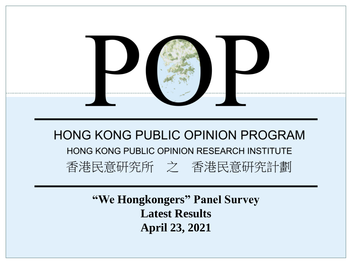

**"We Hongkongers" Panel Survey Latest Results April 23, 2021**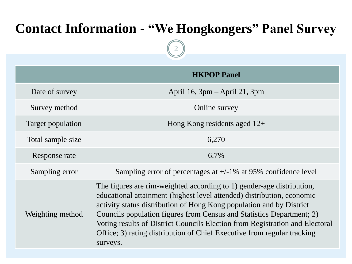| <b>Contact Information - "We Hongkongers" Panel Survey</b> |                                                                                                                                                                                                                                                                                                                                                                                                                                                                         |  |  |
|------------------------------------------------------------|-------------------------------------------------------------------------------------------------------------------------------------------------------------------------------------------------------------------------------------------------------------------------------------------------------------------------------------------------------------------------------------------------------------------------------------------------------------------------|--|--|
| <b>HKPOP Panel</b>                                         |                                                                                                                                                                                                                                                                                                                                                                                                                                                                         |  |  |
| Date of survey                                             | April 16, $3pm -$ April 21, $3pm$                                                                                                                                                                                                                                                                                                                                                                                                                                       |  |  |
| Survey method                                              | Online survey                                                                                                                                                                                                                                                                                                                                                                                                                                                           |  |  |
| Target population                                          | Hong Kong residents aged $12+$                                                                                                                                                                                                                                                                                                                                                                                                                                          |  |  |
| Total sample size                                          | 6,270                                                                                                                                                                                                                                                                                                                                                                                                                                                                   |  |  |
| Response rate                                              | 6.7%                                                                                                                                                                                                                                                                                                                                                                                                                                                                    |  |  |
| Sampling error                                             | Sampling error of percentages at $+/-1\%$ at 95% confidence level                                                                                                                                                                                                                                                                                                                                                                                                       |  |  |
| Weighting method                                           | The figures are rim-weighted according to 1) gender-age distribution,<br>educational attainment (highest level attended) distribution, economic<br>activity status distribution of Hong Kong population and by District<br>Councils population figures from Census and Statistics Department; 2)<br>Voting results of District Councils Election from Registration and Electoral<br>Office; 3) rating distribution of Chief Executive from regular tracking<br>surveys. |  |  |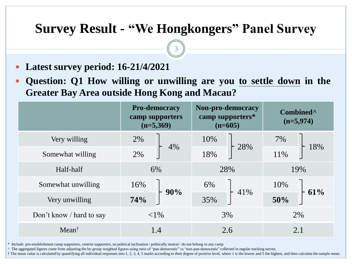3

- **Latest survey period: 16-21/4/2021**
- **Question: Q1 How willing or unwilling are you to settle down in the Greater Bay Area outside Hong Kong and Macau?**

|                          | <b>Pro-democracy</b><br>camp supporters<br>$(n=5,369)$ | Non-pro-democracy<br>camp supporters*<br>$(n=605)$ | Combined <sup>^</sup><br>$(n=5,974)$ |  |
|--------------------------|--------------------------------------------------------|----------------------------------------------------|--------------------------------------|--|
| Very willing             | 2%<br>4%                                               | 10%<br>28%                                         | 7%                                   |  |
| Somewhat willing         | 2%                                                     | 18%                                                | 18%<br>11%                           |  |
| Half-half                | 6%                                                     | 28%                                                | 19%                                  |  |
| Somewhat unwilling       | 16%                                                    | 6%                                                 | 10%                                  |  |
| Very unwilling           | $+90%$<br>74%                                          | 41%<br>35%                                         | 61%<br>50%                           |  |
| Don't know / hard to say | ${<}1\%$                                               | 3%                                                 | 2%                                   |  |
| $Mean^{\dagger}$         | 1.4                                                    | 2.6                                                | 2.1                                  |  |

\* Include: pro-establishment camp supporters, centrist supporters, no political inclination / politically neutral / do not belong to any camp

^ The aggregated figures come from adjusting the by-group weighted figures using ratio of "pan-democratic" vs "non-pan-democratic" collected in regular tracking survey.

† The mean value is calculated by quantifying all individual responses into 1, 2, 3, 4, 5 marks according to their degree of positive level, where 1 is the lowest and 5 the highest, and then calculate the sample mean.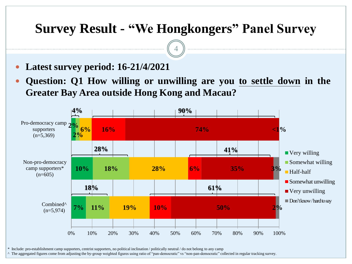4

- **Latest survey period: 16-21/4/2021**
- **Question: Q1 How willing or unwilling are you to settle down in the Greater Bay Area outside Hong Kong and Macau?**



\* Include: pro-establishment camp supporters, centrist supporters, no political inclination / politically neutral / do not belong to any camp

^ The aggregated figures come from adjusting the by-group weighted figures using ratio of "pan-democratic" vs "non-pan-democratic" collected in regular tracking survey.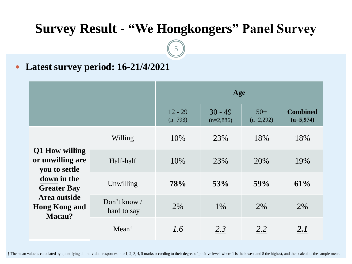5

**Latest survey period: 16-21/4/2021**

|                                                                                                                                            |                               | Age                    |                          |                      |                                |
|--------------------------------------------------------------------------------------------------------------------------------------------|-------------------------------|------------------------|--------------------------|----------------------|--------------------------------|
|                                                                                                                                            |                               | $12 - 29$<br>$(n=793)$ | $30 - 49$<br>$(n=2,886)$ | $50+$<br>$(n=2,292)$ | <b>Combined</b><br>$(n=5,974)$ |
| Q1 How willing<br>or unwilling are<br>you to settle<br>down in the<br><b>Greater Bay</b><br>Area outside<br><b>Hong Kong and</b><br>Macau? | Willing                       | 10%                    | 23%                      | 18%                  | 18%                            |
|                                                                                                                                            | Half-half                     | 10%                    | 23%                      | 20%                  | 19%                            |
|                                                                                                                                            | Unwilling                     | 78%                    | 53%                      | 59%                  | 61%                            |
|                                                                                                                                            | Don't know $/$<br>hard to say | 2%                     | 1%                       | 2%                   | 2%                             |
|                                                                                                                                            | $Mean^{\dagger}$              | 1.6                    | 2.3                      | 2.2                  | 2.1                            |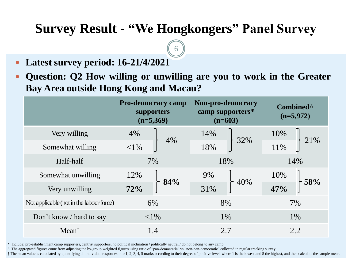6

- **Latest survey period: 16-21/4/2021**
- **Question: Q2 How willing or unwilling are you to work in the Greater Bay Area outside Hong Kong and Macau?**

|                                          | <b>Pro-democracy camp</b><br>supporters<br>$(n=5,369)$ | Non-pro-democracy<br>camp supporters*<br>$(n=603)$ | Combined <sup>^</sup><br>$(n=5,972)$ |  |
|------------------------------------------|--------------------------------------------------------|----------------------------------------------------|--------------------------------------|--|
| Very willing                             | 4%<br>4%                                               | 14%                                                | 10%                                  |  |
| Somewhat willing                         | ${<}1\%$                                               | 32%<br>18%                                         | 21%<br>11%                           |  |
| Half-half                                | 7%                                                     | 18%                                                | 14%                                  |  |
| Somewhat unwilling                       | 12%                                                    | 9%                                                 | 10%                                  |  |
| Very unwilling                           | 84%<br>72%                                             | 40%<br>31%                                         | $-58%$<br>47%                        |  |
| Not applicable (not in the labour force) | 6%                                                     | 8%                                                 | 7%                                   |  |
| Don't know / hard to say                 | ${<}1\%$                                               | 1%                                                 | $1\%$                                |  |
| Mean <sup>†</sup>                        | 1.4                                                    | 2.7                                                | 2.2                                  |  |

\* Include: pro-establishment camp supporters, centrist supporters, no political inclination / politically neutral / do not belong to any camp

^ The aggregated figures come from adjusting the by-group weighted figures using ratio of "pan-democratic" vs "non-pan-democratic" collected in regular tracking survey.

† The mean value is calculated by quantifying all individual responses into 1, 2, 3, 4, 5 marks according to their degree of positive level, where 1 is the lowest and 5 the highest, and then calculate the sample mean.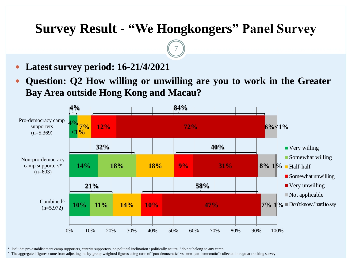7

- **Latest survey period: 16-21/4/2021**
- **Question: Q2 How willing or unwilling are you to work in the Greater Bay Area outside Hong Kong and Macau?**



\* Include: pro-establishment camp supporters, centrist supporters, no political inclination / politically neutral / do not belong to any camp

^ The aggregated figures come from adjusting the by-group weighted figures using ratio of "pan-democratic" vs "non-pan-democratic" collected in regular tracking survey.